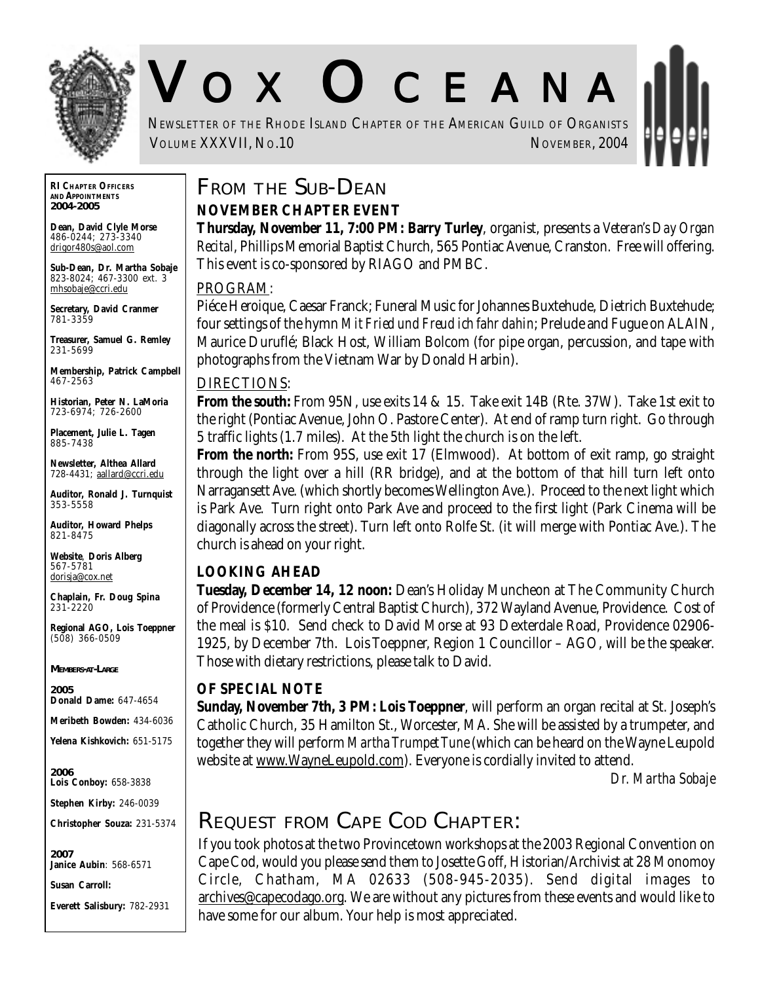

# V O X O CEANA

NEWSLETTER OF THE RHODE ISLAND CHAPTER OF THE AMERICAN GUILD OF ORGANISTS VOLUME XXXVII, No.10 NOVEMBER, 2004

**RI CHAPTER OFFICERS AND APPOINTMENTS** *2004-2005*

**Dean, David Clyle Morse** 486-0244; 273-3340 drigor480s@aol.com

**Sub-Dean, Dr. Martha Sobaje** 823-8024; 467-3300 ext. 3 mhsobaje@ccri.edu

**Secretary, David Cranmer** 781-3359

**Treasurer, Samuel G. Remley** 231-5699

**Membership, Patrick Campbell** 467-2563

**Historian, Peter N. LaMoria** 723-6974; 726-2600

**Placement, Julie L. Tagen** 885-7438

**Newsletter, Althea Allard** 728-4431; aallard@ccri.edu

**Auditor, Ronald J. Turnquist** 353-5558

**Auditor, Howard Phelps** 821-8475

**Website**, **Doris Alberg** 567-5781 dorisja@cox.net

**Chaplain, Fr. Doug Spina** 231-2220

**Regional AGO, Lois Toeppner** (508) 366-0509

*MEMBERS-AT-LARGE*

*2005* **Donald Dame:** 647-4654

**Meribeth Bowden:** 434-6036

**Yelena Kishkovich:** 651-5175

*2006* **Lois Conboy:** 658-3838

**Stephen Kirby:** 246-0039

**Christopher Souza:** 231-5374

*2007* **Janice Aubin**: 568-6571

**Susan Carroll:**

**Everett Salisbury:** 782-2931

## **FROM THE SUB-DEAN**

#### **NOVEMBER CHAPTER EVENT**

**Thursday, November 11, 7:00 PM: Barry Turley**, organist, presents a *Veteran's Day Organ Recital*, Phillips Memorial Baptist Church, 565 Pontiac Avenue, Cranston. Free will offering. This event is co-sponsored by RIAGO and PMBC.

#### PROGRAM:

Piéce Heroique, Caesar Franck; Funeral Music for Johannes Buxtehude, Dietrich Buxtehude; four settings of the hymn *Mit Fried und Freud ich fahr dahin*; Prelude and Fugue on ALAIN, Maurice Duruflé; Black Host, William Bolcom (for pipe organ, percussion, and tape with photographs from the Vietnam War by Donald Harbin).

#### DIRECTIONS:

**From the south:** From 95N, use exits 14 & 15. Take exit 14B (Rte. 37W). Take 1st exit to the right (Pontiac Avenue, John O. Pastore Center). At end of ramp turn right. Go through 5 traffic lights (1.7 miles). At the 5th light the church is on the left.

**From the north:** From 95S, use exit 17 (Elmwood). At bottom of exit ramp, go straight through the light over a hill (RR bridge), and at the bottom of that hill turn left onto Narragansett Ave. (which shortly becomes Wellington Ave.). Proceed to the next light which is Park Ave. Turn right onto Park Ave and proceed to the first light (Park Cinema will be diagonally across the street). Turn left onto Rolfe St. (it will merge with Pontiac Ave.). The church is ahead on your right.

#### **LOOKING AHEAD**

**Tuesday, December 14, 12 noon:** Dean's Holiday Muncheon at The Community Church of Providence (formerly Central Baptist Church), 372 Wayland Avenue, Providence. Cost of the meal is \$10. Send check to David Morse at 93 Dexterdale Road, Providence 02906- 1925, by December 7th. Lois Toeppner, Region 1 Councillor – AGO, will be the speaker. Those with dietary restrictions, please talk to David.

#### **OF SPECIAL NOTE**

**Sunday, November 7th, 3 PM: Lois Toeppner**, will perform an organ recital at St. Joseph's Catholic Church, 35 Hamilton St., Worcester, MA. She will be assisted by a trumpeter, and together they will perform *Martha Trumpet Tune* (which can be heard on the Wayne Leupold website at www.WayneLeupold.com). Everyone is cordially invited to attend.

*Dr. Martha Sobaje*

## **REQUEST FROM CAPE COD CHAPTER:**

If you took photos at the two Provincetown workshops at the 2003 Regional Convention on Cape Cod, would you please send them to Josette Goff, Historian/Archivist at 28 Monomoy Circle, Chatham, MA 02633 (508-945-2035). Send digital images to archives@capecodago.org. We are without any pictures from these events and would like to have some for our album. Your help is most appreciated.